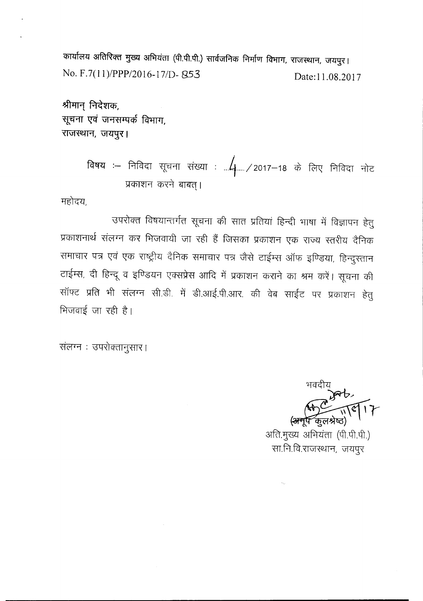chl~f(>f~ 3l~RCftI ~ ~ (<fi:~..<fi.) **fllcflJlP!Cf> <sup>~</sup> ~, ~, <sup>~</sup>** I No. F.7(11)/PPP/2016-17/D- 853 Date: 11.08.2017

श्रीमान् निदेशक, *~ -qci* **\11'"1tiAl** *cP ~,* **~, \i1119)'< I**

> विषय :– निविदा सूचना संख्या : ...<mark>.4</mark>..../2017–18 के लिए निविदा नोट प्रकाशन करने बाबत् ।

महोदय,

उपरोक्त विषयान्तर्गत सूचना की सात प्रतियां हिन्दी भाषा में विज्ञापन हेतु प्रकाशनार्थ संलग्न कर भिजवायी जा रही हैं जिसका प्रकाशन एक राज्य स्तरीय दैनिक समाचार पत्र एवं एक राष्ट्रीय दैनिक समाचार पत्र जैसे टाईम्स ऑफ इण्डिया, हिन्दुस्तान टाईम्स, दी हिन्दू व इण्डियन एक्सप्रेस आदि में प्रकाशन कराने का श्रम करें। सूचना की सॉफ्ट प्रति भी संलग्न सी.डी. में डी.आई.पी.आर. की वेब साईट पर प्रकाशन हेतु भिजवाई जा रही है।

संलग्न : उपरोक्तानुसार।

अति.मुख्य अभियंता (पी.पी.पी.) सा.नि.वि.राजस्थान, जयपूर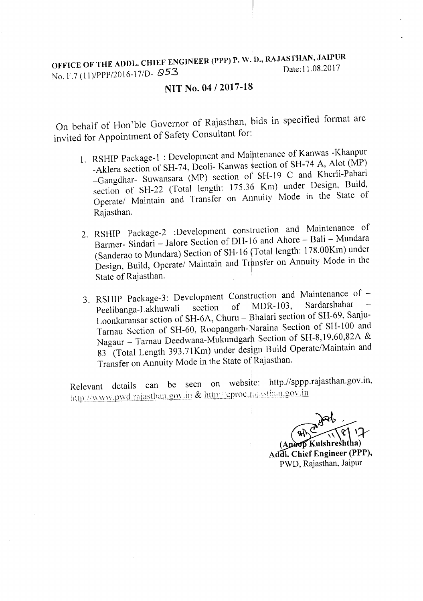# OFFICE OF THE ADDL. CHIEF ENGINEER (PPP) P. W. D., RAJASTHAN, JAIPUR<br>Date:11.08.2017 No. F.7 (11)/PPP/2016-17/D-  $\beta$ 53

### **NIT** No. **04** /2017-18

On behalf of Hon 'ble Governor of Rajasthan, bids in specified format are invited for Appointment of Safety Consultant for:

- 1. RSHIP Package-l : Development and Maintenance of Kanwas -Khanpur -Aklera section of SH-74, Deoli- Kanwas section of SH-74 A, Alot (MP) -Gangdhar- Suwansara (MP) section of SH-19 C and Kherli-Pahari section of SH-22 (Total length: 175.36 Km) under Design, Build, Operate/ Maintain and Transfer on Annuity Mode in the State of Rajasthan.
- 2. RSHIP Package-2 :Development construction and Maintenance of Barmer- Sindari – Jalore Section of DH-1<sup>1</sup>6 and Ahore – Bali – Mundara (Sanderao to Mundara) Section of SH-16 (Total length: 17S.00Km) under Design, Build, Operate/ Maintain and Transfer on Annuity Mode in the State of Rajasthan.
- 3. RSHIP Package-3: Development Construction and Maintenance of  $-$ <br>Pecliberaal akhuwali section of MDR-103, Sardarshahar  $-$ Peelibanga-Lakhuwali section of MDR-103, Sardarshaha Loonkaransar sction of SH-6A, Churu – Bhalari section of SH-69, Sanju-Tarnau Section of SH-60, Roopangarh-Naraina Section of SH-100 and Nagaur - Tarnau Deedwana-Mukundgarh Section of SH-8,19,60,82A & 83 (Total Length 393.71Km) under design Build Operate/Maintain and Transfer on Annuity Mode in the State of Rajasthan.

Relevant details can be seen on website: http.//sppp.rajasthan.gov.i  $\frac{1}{1}$ <sub>111p://www.pwd.rajasthan.gov.in & http://eproc.rajasthan.gov.in</sub>

(Anoop Kulshreshtha) Addl. Chief Engineer (PPP), PWD, Rajasthan, Jaipur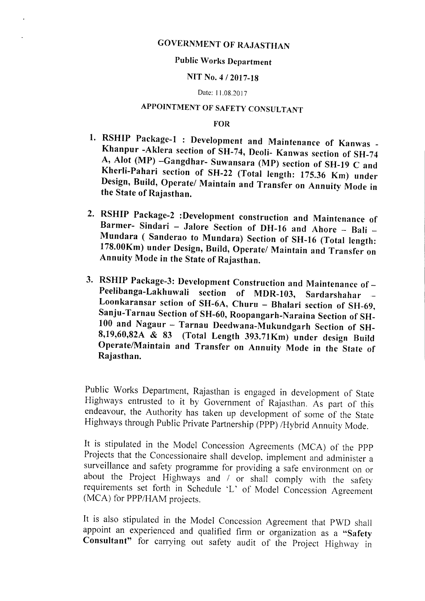## GOVERNMENT OF RAJASTHAN

#### Public Works Department

#### NIT No.4 /2017-18

#### Date: 11.08.2017

## APPOINTMENT OF SAFETY CONSULTANT

#### FOR

- 1. RSHIP Package-1 : Development and Maintenance of Kanwas -Khanpur -Aklera section of SH-74, Deoli- Kanwas section of SH-74 A, Alot (MP) -Gangdhar- Suwansara (MP) section of SH-19 C and Kherli-Pahari section of SH-22 (Total length: 175.36 Km) under Design, Build, Operate/ Maintain and Transfer on Annuity Mode in the State of Rajasthan.
- 2. RSHIP Package-2 :Development construction and Maintenance of Barmer- Sindari - Jalore Section of DH-16 and Ahore - Bali -Mundara ( Sanderao to Mundara) Section of SH-16 (Total length: 178.00Km) under Design, Build, Operate/ Maintain and Transfer on Annuity Mode in the State of Rajasthan.
- 3. RSHIP Package-3: Development Construction and Maintenance of -Peelibanga-Lakhuwali section of MDR-I03, Sardarshahar Loonkaransar sction of SH-6A, Churu - Bhalari section of SH-69, Sanju- Tarnau Section of SH-60, Roopangarh-Naraina Section of SH-100 and Nagaur - Tarnau Deedwana-Mukundgarh Section of SH-8,19,60,82A & 83 (Total Length 393.71Km) under design Build Operate/Maintain and Transfer on Annuity Mode in the State of Rajasthan.

Public Works Department, Rajasthan is engaged in development of State Highways entrusted to it by Government of Rajasthan. As part of this endeavour, the Authority has taken up development of some of the State Highways through Public Private Partnership (PPP) *IHybrid* Annuity Mode.

It is stipulated in the Model Concession Agreements (MCA) of the PPP Projects that the Concessionaire shall develop, implement and administer a surveillance and safety programme for providing a safe environment on or about the Project Highways and *I* or shall comply with the safety requirements set forth in Schedule 'L' of Model Concession Agreement (MCA) for *PPP/HAM* projects.

It is also stipulated in the Model Concession Agreement that PWD shall appoint an experienced and qualified firm or organization as a "Safety Consultant" for carrying out safety audit of the Project Highway in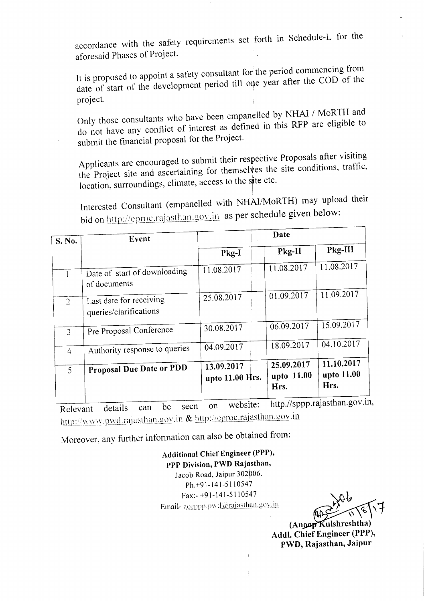accordance with the safety requirements set forth in Schedule-L for the aforesaid Phases of Project.

It is proposed to appoint a safety consultant for the period commencing from date of start of the development period till one year after the COD of the project. .

Only those consultants who have been empanelled by NHAI / MoRTH and do not have any conflict of interest as defined in this RFP are eligible to submit the financial proposal for the Project.

Applicants are encouraged to submit their respective Proposals after visiting the Project site and ascertaining for themselves the site conditions, traffic, location, surroundings, climate, access to the site etc.

Interested Consultant (empanelled with NHAI/MoRTH) may upload their bid on http://eproc.rajasthan.gov.in as per schedule given below:

| S. No.         | Event                                             | Date                          |                                  |                                  |
|----------------|---------------------------------------------------|-------------------------------|----------------------------------|----------------------------------|
|                |                                                   | Pkg-I                         | Pkg-II                           | Pkg-III                          |
|                | Date of start of downloading<br>of documents      | 11.08.2017                    | 11.08.2017                       | 11.08.2017                       |
| $\overline{2}$ | Last date for receiving<br>queries/clarifications | 25.08.2017                    | 01.09.2017                       | 11.09.2017                       |
| 3              | Pre Proposal Conference                           | 30.08.2017                    | 06.09.2017                       | 15.09.2017                       |
| $\overline{4}$ | Authority response to queries                     | 04.09.2017                    | 18.09.2017                       | 04.10.2017                       |
| $\mathfrak{S}$ | Proposal Due Date or PDD                          | 13.09.2017<br>upto 11.00 Hrs. | 25.09.2017<br>upto 11.00<br>Hrs. | 11.10.2017<br>upto 11.00<br>Hrs. |

Relevant details can be seen on website: http.//sppp.rajasthan.gov.in, http://www.pwd.rajasthan.gov.in & http://eproc.rajasthan.gov.in

Moreover, any further information can also be obtained from:

Additional Chief Engineer (PPP), PPP Division, PWD Rajasthan, Jacob Road, Jaipur *302b06.* Ph.+91-141-5110547 Fax:- +91-141-5110547 Email-accppp.pwd@rajasthan.gov.in

(Angop Kulshreshtha) Addl. Chief Engineer (PPP), PWD, Rajasthan, Jaipur